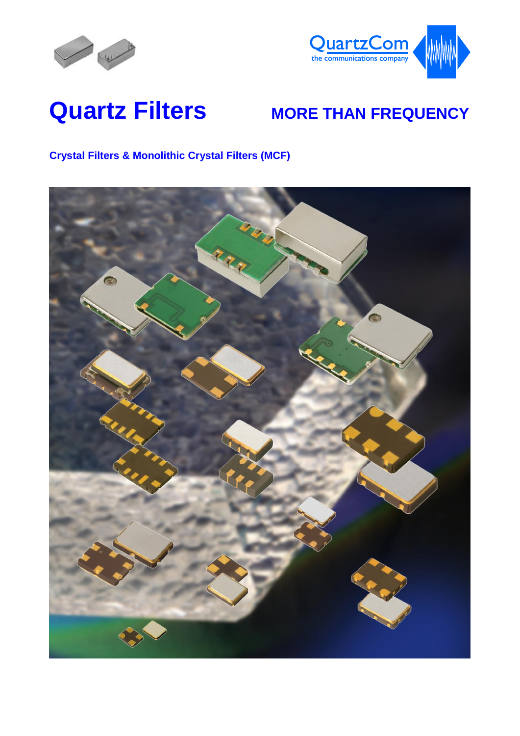



# **Quartz Filters MORE THAN FREQUENCY**

#### **Crystal Filters & Monolithic Crystal Filters (MCF)**

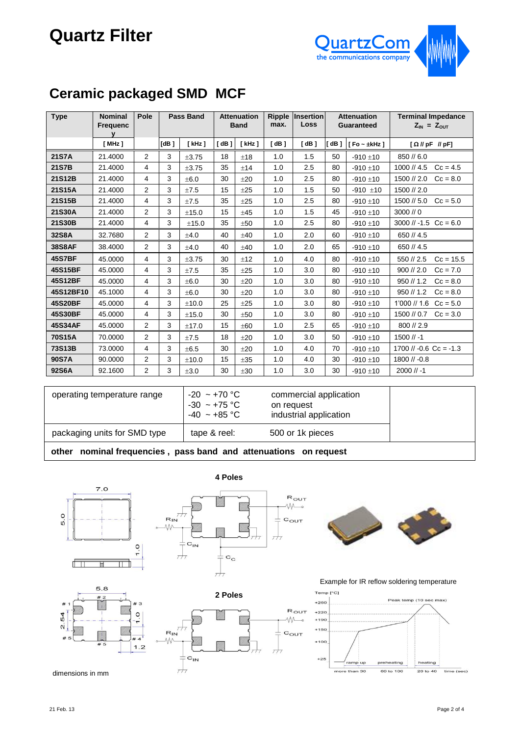## **Quartz Filter**



### **Ceramic packaged SMD MCF**

| <b>Type</b>   | <b>Nominal</b><br><b>Frequenc</b><br>v | Pole           |      | <b>Pass Band</b> | <b>Attenuation</b><br><b>Band</b> |             | max. | <b>Ripple Insertion</b><br><b>Loss</b> | <b>Attenuation</b><br><b>Guaranteed</b> |                     | <b>Terminal Impedance</b><br>$Z_{IN} = Z_{OUT}$ |  |
|---------------|----------------------------------------|----------------|------|------------------|-----------------------------------|-------------|------|----------------------------------------|-----------------------------------------|---------------------|-------------------------------------------------|--|
|               | [MHz]                                  |                | [dB] | $[$ kHz $]$      | [dB]                              | $[$ kHz $]$ | [dB] | [dB]                                   | IdB1                                    | $F$ o ~ $\pm$ kHz ] | $[\Omega N]$ pF $N$ pF]                         |  |
| 21S7A         | 21.4000                                | $\overline{2}$ | 3    | $\pm 3.75$       | 18                                | ±18         | 1.0  | 1.5                                    | 50                                      | $-910 \pm 10$       | 850 // 6.0                                      |  |
| 21S7B         | 21.4000                                | 4              | 3    | ±3.75            | 35                                | ±14         | 1.0  | 2.5                                    | 80                                      | $-910 \pm 10$       | 1000 // 4.5<br>$Cc = 4.5$                       |  |
| 21S12B        | 21.4000                                | 4              | 3    | ±6.0             | 30                                | ±20         | 1.0  | 2.5                                    | 80                                      | $-910 \pm 10$       | 1500 // 2.0<br>$Cc = 8.0$                       |  |
| 21S15A        | 21.4000                                | $\overline{2}$ | 3    | ±7.5             | 15                                | ±25         | 1.0  | 1.5                                    | 50                                      | $-910 + 10$         | 1500 // 2.0                                     |  |
| 21S15B        | 21.4000                                | 4              | 3    | ±7.5             | 35                                | ±25         | 1.0  | 2.5                                    | 80                                      | $-910 \pm 10$       | 1500 // 5.0<br>$Cc = 5.0$                       |  |
| 21S30A        | 21.4000                                | $\overline{2}$ | 3    | ±15.0            | 15                                | $+45$       | 1.0  | 1.5                                    | 45                                      | $-910 + 10$         | $3000$ // 0                                     |  |
| 21S30B        | 21.4000                                | 4              | 3    | ±15.0            | 35                                | ±50         | 1.0  | 2.5                                    | 80                                      | $-910 \pm 10$       | $3000$ // -1.5 Cc = 6.0                         |  |
| 32S8A         | 32.7680                                | 2              | 3    | ±4.0             | 40                                | ±40         | 1.0  | 2.0                                    | 60                                      | $-910 \pm 10$       | 650 // 4.5                                      |  |
| <b>38S8AF</b> | 38.4000                                | $\overline{2}$ | 3    | ±4.0             | 40                                | ±40         | 1.0  | 2.0                                    | 65                                      | $-910 \pm 10$       | 650 // 4.5                                      |  |
| <b>45S7BF</b> | 45.0000                                | 4              | 3    | $\pm 3.75$       | 30                                | ±12         | 1.0  | 4.0                                    | 80                                      | $-910 \pm 10$       | 550 // 2.5<br>$Cc = 15.5$                       |  |
| 45S15BF       | 45.0000                                | 4              | 3    | ±7.5             | 35                                | ±25         | 1.0  | 3.0                                    | 80                                      | $-910 \pm 10$       | $900$ // 2.0<br>$Cc = 7.0$                      |  |
| 45S12BF       | 45.0000                                | 4              | 3    | ±6.0             | 30                                | ±20         | 1.0  | 3.0                                    | 80                                      | $-910 \pm 10$       | 950 // 1.2<br>$Cc = 8.0$                        |  |
| 45S12BF10     | 45.1000                                | 4              | 3    | ±6.0             | 30                                | ±20         | 1.0  | 3.0                                    | 80                                      | $-910 + 10$         | 950 // 1.2<br>$Cc = 8.0$                        |  |
| 45S20BF       | 45.0000                                | 4              | 3    | ±10.0            | 25                                | ±25         | 1.0  | 3.0                                    | 80                                      | $-910 \pm 10$       | $1'000$ // 1.6<br>$Cc = 5.0$                    |  |
| 45S30BF       | 45.0000                                | 4              | 3    | ±15.0            | 30                                | ±50         | 1.0  | 3.0                                    | 80                                      | $-910 + 10$         | 1500 // 0.7<br>$Cc = 3.0$                       |  |
| 45S34AF       | 45.0000                                | $\overline{2}$ | 3    | ±17.0            | 15                                | ±60         | 1.0  | 2.5                                    | 65                                      | $-910 \pm 10$       | 800 // 2.9                                      |  |
| <b>70S15A</b> | 70.0000                                | 2              | 3    | ±7.5             | 18                                | ±20         | 1.0  | 3.0                                    | 50                                      | $-910 \pm 10$       | $1500$ // -1                                    |  |
| 73S13B        | 73,0000                                | 4              | 3    | ±6.5             | 30                                | $+20$       | 1.0  | 4.0                                    | 70                                      | $-910 \pm 10$       | $1700$ // -0.6 Cc = -1.3                        |  |
| 90S7A         | 90.0000                                | $\overline{2}$ | 3    | ±10.0            | 15                                | ±35         | 1.0  | 4.0                                    | 30                                      | $-910 \pm 10$       | $1800$ // $-0.8$                                |  |
| 92S6A         | 92.1600                                | 2              | 3    | ±3.0             | 30                                | ±30         | 1.0  | 3.0                                    | 30                                      | $-910 \pm 10$       | $2000$ // -1                                    |  |

| operating temperature range                                        | $-20 \sim +70$ °C<br>$-30 \sim +75 \degree C$<br>$-40 \sim +85$ °C | commercial application<br>on request<br>industrial application |  |  |  |  |
|--------------------------------------------------------------------|--------------------------------------------------------------------|----------------------------------------------------------------|--|--|--|--|
| packaging units for SMD type                                       | tape & reel:                                                       | 500 or 1k pieces                                               |  |  |  |  |
| other nominal frequencies<br>nace hand and attonuations on roquest |                                                                    |                                                                |  |  |  |  |

#### **other nominal frequencies , pass band and attenuations on request**









#### Example for IR reflow soldering temperature

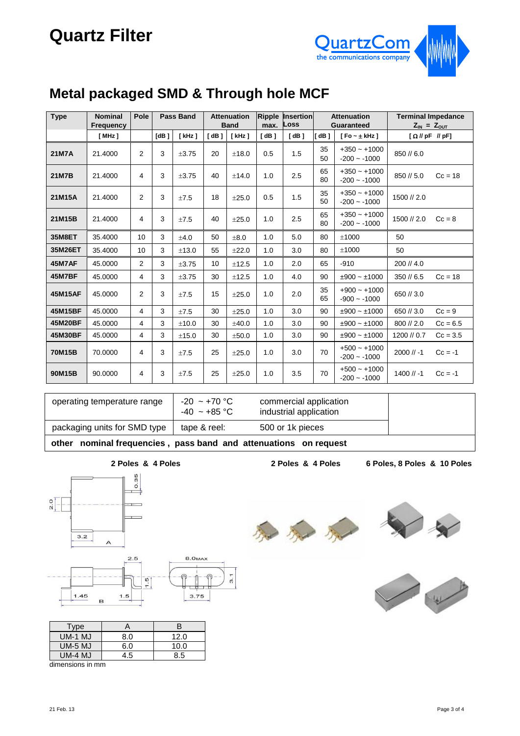

#### **Metal packaged SMD & Through hole MCF**

| <b>Type</b>   | <b>Nominal</b><br>Frequency | Pole           | <b>Pass Band</b> |            |                      | <b>Attenuation</b><br>Ripple<br><b>Band</b> |      | <b>Insertion</b><br>Loss |          | <b>Attenuation</b><br><b>Guaranteed</b> | <b>Terminal Impedance</b><br>$Z_{IN} = Z_{OUT}$ |            |
|---------------|-----------------------------|----------------|------------------|------------|----------------------|---------------------------------------------|------|--------------------------|----------|-----------------------------------------|-------------------------------------------------|------------|
|               | [MHz]                       |                | [dB]             | [kHz]      | $\lceil$ dB $\rceil$ | $[$ kHz $]$                                 | [dB] | [dB]                     | [dB]     | [ $Fo - \pm kHz$ ]                      | $[\Omega NpF NpF]$                              |            |
| <b>21M7A</b>  | 21.4000                     | $\overline{2}$ | 3                | ±3.75      | 20                   | ±18.0                                       | 0.5  | 1.5                      | 35<br>50 | $+350 - +1000$<br>$-200 - 1000$         | 850 // 6.0                                      |            |
| <b>21M7B</b>  | 21.4000                     | 4              | 3                | ±3.75      | 40                   | ±14.0                                       | 1.0  | 2.5                      | 65<br>80 | $+350 - +1000$<br>$-200 - 1000$         | 850 // 5.0                                      | $Cc = 18$  |
| 21M15A        | 21.4000                     | $\overline{2}$ | 3                | ±7.5       | 18                   | $\pm 25.0$                                  | 0.5  | 1.5                      | 35<br>50 | $+350 - +1000$<br>$-200 - 1000$         | 1500 // 2.0                                     |            |
| 21M15B        | 21.4000                     | 4              | 3                | ±7.5       | 40                   | ±25.0                                       | 1.0  | 2.5                      | 65<br>80 | $+350 - +1000$<br>$-200 - 1000$         | 1500 // 2.0                                     | $Cc = 8$   |
| 35M8ET        | 35.4000                     | 10             | 3                | ±4.0       | 50                   | ±8.0                                        | 1.0  | 5.0                      | 80       | ±1000                                   | 50                                              |            |
| 35M26ET       | 35.4000                     | 10             | 3                | ±13.0      | 55                   | ±22.0                                       | 1.0  | 3.0                      | 80       | ±1000                                   | 50                                              |            |
| 45M7AF        | 45.0000                     | $\overline{2}$ | 3                | $\pm 3.75$ | 10                   | ±12.5                                       | 1.0  | 2.0                      | 65       | $-910$                                  | 200 // 4.0                                      |            |
| <b>45M7BF</b> | 45.0000                     | 4              | 3                | $\pm 3.75$ | 30                   | ±12.5                                       | 1.0  | 4.0                      | 90       | $±900 - ±1000$                          | 350/6.5                                         | $Cc = 18$  |
| 45M15AF       | 45.0000                     | 2              | 3                | ±7.5       | 15                   | ±25.0                                       | 1.0  | 2.0                      | 35<br>65 | $+900 - +1000$<br>$-900 - 1000$         | 650 // 3.0                                      |            |
| 45M15BF       | 45.0000                     | 4              | 3                | ±7.5       | 30                   | ±25.0                                       | 1.0  | 3.0                      | 90       | $±900 - ±1000$                          | 650 // 3.0                                      | $Cc = 9$   |
| 45M20BF       | 45.0000                     | 4              | 3                | ±10.0      | 30                   | $+40.0$                                     | 1.0  | 3.0                      | 90       | $±900 - ±1000$                          | 800 // 2.0                                      | $Cc = 6.5$ |
| 45M30BF       | 45.0000                     | 4              | 3                | ±15.0      | 30                   | ±50.0                                       | 1.0  | 3.0                      | 90       | $±900 - ±1000$                          | 1200 // 0.7                                     | $Cc = 3.5$ |
| 70M15B        | 70.0000                     | $\overline{4}$ | 3                | ±7.5       | 25                   | ±25.0                                       | 1.0  | 3.0                      | 70       | $+500 - +1000$<br>$-200 - 1000$         | $2000$ // -1                                    | $Cc = -1$  |
| 90M15B        | 90.0000                     | 4              | 3                | ±7.5       | 25                   | ±25.0                                       | 1.0  | 3.5                      | 70       | $+500 - +1000$<br>$-200 - 1000$         | $1400$ // -1                                    | $Cc = -1$  |

| operating temperature range                                         | $-20 \approx +70$ °C<br>$-40 \approx +85$ °C | commercial application<br>industrial application |  |  |  |
|---------------------------------------------------------------------|----------------------------------------------|--------------------------------------------------|--|--|--|
| packaging units for SMD type                                        | tape & reel:                                 | 500 or 1k pieces                                 |  |  |  |
| nominal frequencies, pass band and attenuations on request<br>other |                                              |                                                  |  |  |  |

**2 Poles & 4 Poles**

**2 Poles & 4 Poles 6 Poles, 8 Poles & 10 Poles**





| Type             |     | в    |  |  |  |
|------------------|-----|------|--|--|--|
| $UM-1$ MJ        | 8.0 | 12.0 |  |  |  |
| <b>UM-5 MJ</b>   | 6.0 | 10.0 |  |  |  |
| $UM-4$ MJ        | 4.5 | 8.5  |  |  |  |
| dimanaiana in mm |     |      |  |  |  |

dimensions in mm